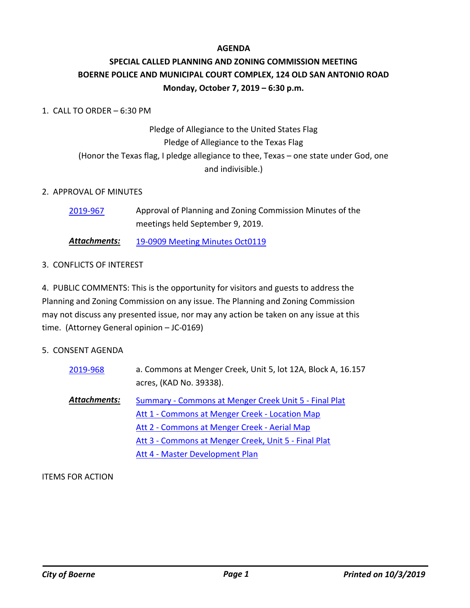### **AGENDA**

## **SPECIAL CALLED PLANNING AND ZONING COMMISSION MEETING BOERNE POLICE AND MUNICIPAL COURT COMPLEX, 124 OLD SAN ANTONIO ROAD Monday, October 7, 2019 – 6:30 p.m.**

## 1. CALL TO ORDER – 6:30 PM

# Pledge of Allegiance to the United States Flag Pledge of Allegiance to the Texas Flag (Honor the Texas flag, I pledge allegiance to thee, Texas – one state under God, one and indivisible.)

### 2. APPROVAL OF MINUTES

| 2019-967 | Approval of Planning and Zoning Commission Minutes of the |
|----------|-----------------------------------------------------------|
|          | meetings held September 9, 2019.                          |

*Attachments:* [19-0909 Meeting Minutes Oct0119](http://boerne.legistar.com/gateway.aspx?M=F&ID=52b5c886-ef02-46e1-970c-d85604527fdb.pdf)

### 3. CONFLICTS OF INTEREST

4. PUBLIC COMMENTS: This is the opportunity for visitors and guests to address the Planning and Zoning Commission on any issue. The Planning and Zoning Commission may not discuss any presented issue, nor may any action be taken on any issue at this time. (Attorney General opinion – JC-0169)

#### 5. CONSENT AGENDA

| 2019-968     | a. Commons at Menger Creek, Unit 5, lot 12A, Block A, 16.157<br>acres, (KAD No. 39338).                                                                 |
|--------------|---------------------------------------------------------------------------------------------------------------------------------------------------------|
| Attachments: | Summary - Commons at Menger Creek Unit 5 - Final Plat<br>Att 1 - Commons at Menger Creek - Location Map<br>Att 2 - Commons at Menger Creek - Aerial Map |
|              | Att 3 - Commons at Menger Creek, Unit 5 - Final Plat<br>Att 4 - Master Development Plan                                                                 |

ITEMS FOR ACTION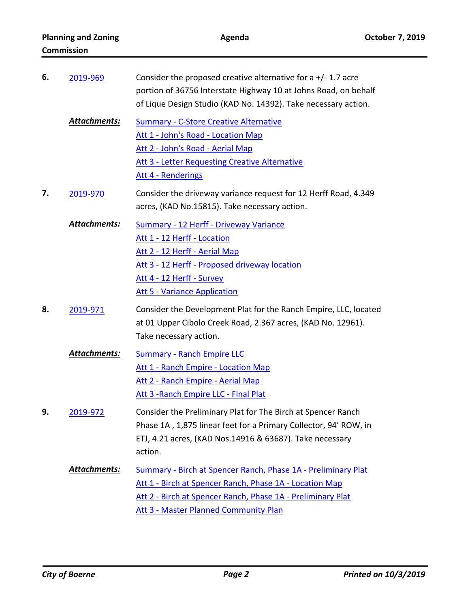| <b>Commission</b> |                     |                                                                                                                                                                                                                                  |
|-------------------|---------------------|----------------------------------------------------------------------------------------------------------------------------------------------------------------------------------------------------------------------------------|
| 6.                | 2019-969            | Consider the proposed creative alternative for a $+/- 1.7$ acre<br>portion of 36756 Interstate Highway 10 at Johns Road, on behalf<br>of Lique Design Studio (KAD No. 14392). Take necessary action.                             |
|                   | Attachments:        | <b>Summary - C-Store Creative Alternative</b><br>Att 1 - John's Road - Location Map<br>Att 2 - John's Road - Aerial Map<br><b>Att 3 - Letter Requesting Creative Alternative</b><br>Att 4 - Renderings                           |
| 7.                | 2019-970            | Consider the driveway variance request for 12 Herff Road, 4.349<br>acres, (KAD No.15815). Take necessary action.                                                                                                                 |
|                   | <b>Attachments:</b> | Summary - 12 Herff - Driveway Variance<br>Att 1 - 12 Herff - Location<br>Att 2 - 12 Herff - Aerial Map<br>Att 3 - 12 Herff - Proposed driveway location<br>Att 4 - 12 Herff - Survey<br><b>Att 5 - Variance Application</b>      |
| 8.                | 2019-971            | Consider the Development Plat for the Ranch Empire, LLC, located<br>at 01 Upper Cibolo Creek Road, 2.367 acres, (KAD No. 12961).<br>Take necessary action.                                                                       |
|                   | <b>Attachments:</b> | <b>Summary - Ranch Empire LLC</b><br>Att 1 - Ranch Empire - Location Map<br>Att 2 - Ranch Empire - Aerial Map<br>Att 3 - Ranch Empire LLC - Final Plat                                                                           |
| 9.                | 2019-972            | Consider the Preliminary Plat for The Birch at Spencer Ranch<br>Phase 1A, 1,875 linear feet for a Primary Collector, 94' ROW, in<br>ETJ, 4.21 acres, (KAD Nos.14916 & 63687). Take necessary<br>action.                          |
|                   | <b>Attachments:</b> | Summary - Birch at Spencer Ranch, Phase 1A - Preliminary Plat<br>Att 1 - Birch at Spencer Ranch, Phase 1A - Location Map<br>Att 2 - Birch at Spencer Ranch, Phase 1A - Preliminary Plat<br>Att 3 - Master Planned Community Plan |

**Planning and Zoning Community Community Agenda** Community Community Community Community Planning and Zoning Community Agenda

**Agenda**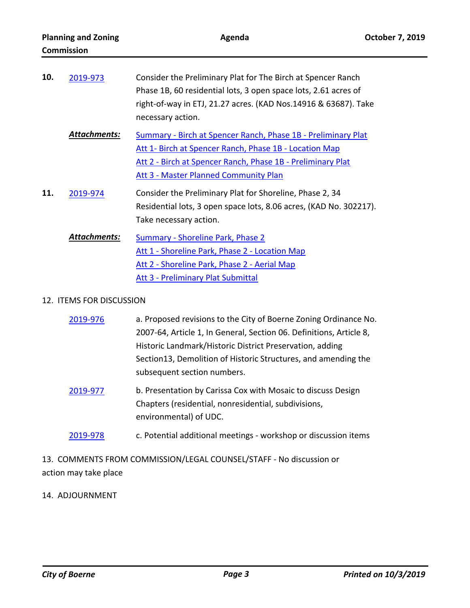| 10. | 2019-973     | Consider the Preliminary Plat for The Birch at Spencer Ranch<br>Phase 1B, 60 residential lots, 3 open space lots, 2.61 acres of<br>right-of-way in ETJ, 21.27 acres. (KAD Nos.14916 & 63687). Take<br>necessary action.                |
|-----|--------------|----------------------------------------------------------------------------------------------------------------------------------------------------------------------------------------------------------------------------------------|
|     | Attachments: | Summary - Birch at Spencer Ranch, Phase 1B - Preliminary Plat<br>Att 1- Birch at Spencer Ranch, Phase 1B - Location Map<br>Att 2 - Birch at Spencer Ranch, Phase 1B - Preliminary Plat<br><b>Att 3 - Master Planned Community Plan</b> |
| 11. | 2019-974     | Consider the Preliminary Plat for Shoreline, Phase 2, 34<br>Residential lots, 3 open space lots, 8.06 acres, (KAD No. 302217).<br>Take necessary action.                                                                               |
|     | Attachments: | Summary - Shoreline Park, Phase 2<br>Att 1 - Shoreline Park, Phase 2 - Location Map<br>Att 2 - Shoreline Park, Phase 2 - Aerial Map<br>Att 3 - Preliminary Plat Submittal                                                              |

#### 12. ITEMS FOR DISCUSSION

| 2019-976 | a. Proposed revisions to the City of Boerne Zoning Ordinance No.    |
|----------|---------------------------------------------------------------------|
|          | 2007-64, Article 1, In General, Section 06. Definitions, Article 8, |
|          | Historic Landmark/Historic District Preservation, adding            |
|          | Section13, Demolition of Historic Structures, and amending the      |
|          | subsequent section numbers.                                         |
| 2019-977 | b. Presentation by Carissa Cox with Mosaic to discuss Design        |
|          | Chapters (residential, nonresidential, subdivisions,                |
|          | environmental) of UDC.                                              |
| 2019-978 | c. Potential additional meetings - workshop or discussion items     |

13. COMMENTS FROM COMMISSION/LEGAL COUNSEL/STAFF - No discussion or

action may take place

## 14. ADJOURNMENT